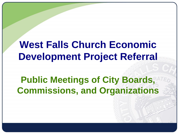# **West Falls Church Economic Development Project Referral**

## **Public Meetings of City Boards, Commissions, and Organizations**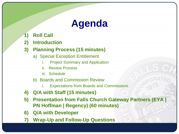# **Agenda**

- **1) Roll Call**
- **2) Introduction**

### **3) Planning Process (15 minutes)**

- a) Special Exception Entitlement
	- i. Project Summary and Application
	- ii. Review Process
	- iii. Schedule
- b) Boards and Commission Review
	- i. Expectations from Boards and Commissions
- **4) Q/A with Staff (15 minutes)**
- **5) Presentation from Falls Church Gateway Partners (EYA | PN Hoffman | Regency) (60 minutes)**
- **6) Q/A with Developer**
- **7) Wrap-Up and Follow-Up Questions**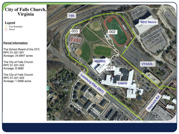# City of Falls Church,<br>Virginia

#### **Legend**

**City Boundary** Parcel

#### **Parcel Information**

The School Board of the CFC RPC 51-221-001 Acreage: 24.6847 acres

The City of Falls Church RPC 51-221-002 Acreage: 8.3682

The City of Falls Church RPC 51-221-003 Acreage: 1.5998 acres

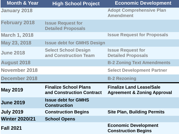| <b>Month &amp; Year</b> | <b>High School Project</b>                                | <b>Economic Development</b>                                               |
|-------------------------|-----------------------------------------------------------|---------------------------------------------------------------------------|
| <b>January 2018</b>     |                                                           | <b>Adopt Comprehensive Plan</b><br><b>Amendment</b>                       |
| <b>February 2018</b>    | <b>Issue Request for</b><br><b>Detailed Proposals</b>     |                                                                           |
| <b>March 1, 2018</b>    |                                                           | <b>Issue Request for Proposals</b>                                        |
| May 23, 2018            | <b>Issue debt for GMHS Design</b>                         |                                                                           |
| <b>June 2018</b>        | <b>Select School Design</b><br>and Construction Team      | <b>Issue Request for</b><br><b>Detailed Proposals</b>                     |
| <b>August 2018</b>      |                                                           | <b>B-2 Zoning Text Amendments</b>                                         |
| <b>November 2018</b>    |                                                           | <b>Select Development Partner</b>                                         |
| <b>December 2018</b>    |                                                           | <b>B-2 Rezoning</b>                                                       |
| <b>May 2019</b>         | <b>Finalize School Plans</b><br>and Construction Contract | <b>Finalize Land Lease/Sale</b><br><b>Agreement &amp; Zoning Approval</b> |
| <b>June 2019</b>        | <b>Issue debt for GMHS</b><br><b>Construction</b>         |                                                                           |
| <b>July 2019</b>        | <b>Construction Begins</b>                                | <b>Site Plan, Building Permits</b>                                        |
| <b>Winter 2020/21</b>   | <b>School Opens</b>                                       |                                                                           |
| <b>Fall 2021</b>        |                                                           | <b>Economic Development</b><br><b>Construction Begins</b>                 |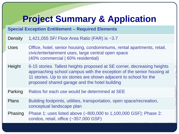## **Project Summary & Application**

### **Special Exception Entitlement – Required Elements**

| Density      | 1,421,055 SF/ Floor Area Ratio (FAR) is ~3.7                                                                                                                                                                                                                            |
|--------------|-------------------------------------------------------------------------------------------------------------------------------------------------------------------------------------------------------------------------------------------------------------------------|
| <b>Uses</b>  | Office, hotel, senior housing, condominiums, rental apartments, retail,<br>civic/entertainment uses, large central open space<br>(40% commercial   60% residential)                                                                                                     |
| Height       | 6-15 stories. Tallest heights proposed at SE corner, decreasing heights<br>approaching school campus with the exception of the senior housing at<br>11 stories. Up to six stories are shown adjacent to school for the<br>proposed shared garage and the hotel building |
| Parking      | Ratios for each use would be determined at SEE                                                                                                                                                                                                                          |
| <b>Plans</b> | Building footprints, utilities, transportation, open space/recreation,<br>conceptual landscape plan                                                                                                                                                                     |
| Phasing      | Phase 1: uses listed above (~800,000 to 1,100,000 GSF); Phase 2:<br>condos, retail, office (~357,000 GSF)                                                                                                                                                               |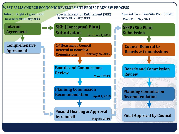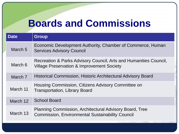# **Boards and Commissions**

| <b>Date</b>        | <b>Group</b>                                                                                                               |
|--------------------|----------------------------------------------------------------------------------------------------------------------------|
| March <sub>5</sub> | Economic Development Authority, Chamber of Commerce, Human<br><b>Services Advisory Council</b>                             |
| March 6            | Recreation & Parks Advisory Council, Arts and Humanities Council,<br><b>Village Preservation &amp; Improvement Society</b> |
| March 7            | <b>Historical Commission, Historic Architectural Advisory Board</b>                                                        |
| March 11           | Housing Commission, Citizens Advisory Committee on<br><b>Transportation, Library Board</b>                                 |
| March 12           | <b>School Board</b>                                                                                                        |
| March 13           | <b>Planning Commission, Architectural Advisory Board, Tree</b><br><b>Commission, Environmental Sustainability Council</b>  |